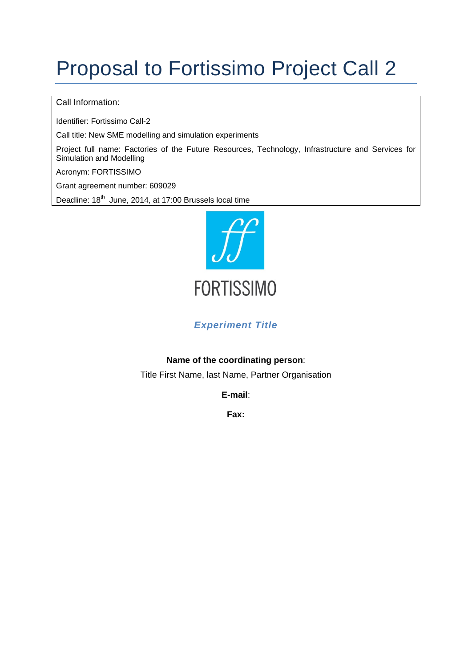# Proposal to Fortissimo Project Call 2

#### Call Information:

Identifier: Fortissimo Call-2

Call title: New SME modelling and simulation experiments

Project full name: Factories of the Future Resources, Technology, Infrastructure and Services for Simulation and Modelling

Acronym: FORTISSIMO

Grant agreement number: 609029

Deadline: 18<sup>th</sup> June, 2014, at 17:00 Brussels local time



#### *Experiment Title*

#### **Name of the coordinating person**:

Title First Name, last Name, Partner Organisation

**E-mail**:

**Fax:**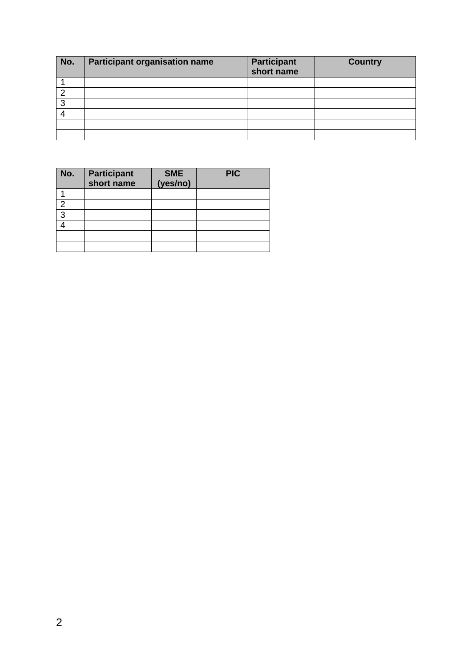| No. | <b>Participant organisation name</b> | <b>Participant</b><br>short name | <b>Country</b> |
|-----|--------------------------------------|----------------------------------|----------------|
|     |                                      |                                  |                |
|     |                                      |                                  |                |
| っ   |                                      |                                  |                |
|     |                                      |                                  |                |
|     |                                      |                                  |                |
|     |                                      |                                  |                |

| No. | <b>Participant</b><br>short name | <b>SME</b><br>(yes/no) | <b>PIC</b> |
|-----|----------------------------------|------------------------|------------|
|     |                                  |                        |            |
| ◠   |                                  |                        |            |
| 3   |                                  |                        |            |
|     |                                  |                        |            |
|     |                                  |                        |            |
|     |                                  |                        |            |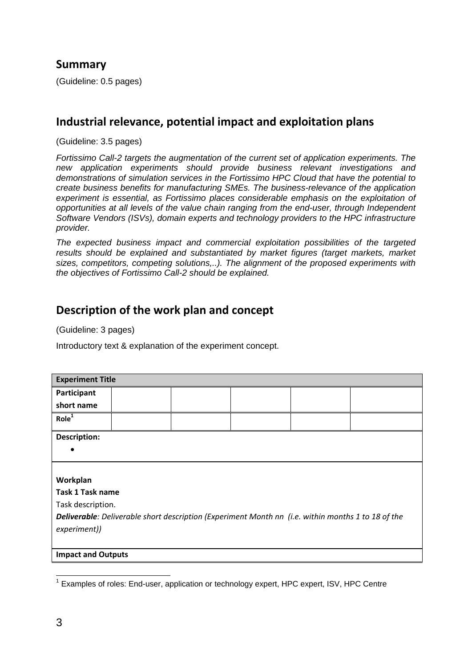## **Summary**

(Guideline: 0.5 pages)

## **Industrial relevance, potential impact and exploitation plans**

(Guideline: 3.5 pages)

*Fortissimo Call-2 targets the augmentation of the current set of application experiments. The new application experiments should provide business relevant investigations and demonstrations of simulation services in the Fortissimo HPC Cloud that have the potential to create business benefits for manufacturing SMEs. The business-relevance of the application experiment is essential, as Fortissimo places considerable emphasis on the exploitation of opportunities at all levels of the value chain ranging from the end-user, through Independent Software Vendors (ISVs), domain experts and technology providers to the HPC infrastructure provider.* 

*The expected business impact and commercial exploitation possibilities of the targeted results should be explained and substantiated by market figures (target markets, market sizes, competitors, competing solutions,..). The alignment of the proposed experiments with the objectives of Fortissimo Call-2 should be explained.* 

## **Description of the work plan and concept**

(Guideline: 3 pages)

Introductory text & explanation of the experiment concept.

| <b>Experiment Title</b>                                                                                                   |  |  |  |  |  |  |  |
|---------------------------------------------------------------------------------------------------------------------------|--|--|--|--|--|--|--|
| Participant                                                                                                               |  |  |  |  |  |  |  |
| short name                                                                                                                |  |  |  |  |  |  |  |
| Role <sup>1</sup>                                                                                                         |  |  |  |  |  |  |  |
| <b>Description:</b>                                                                                                       |  |  |  |  |  |  |  |
|                                                                                                                           |  |  |  |  |  |  |  |
|                                                                                                                           |  |  |  |  |  |  |  |
| Workplan                                                                                                                  |  |  |  |  |  |  |  |
| <b>Task 1 Task name</b>                                                                                                   |  |  |  |  |  |  |  |
| Task description.                                                                                                         |  |  |  |  |  |  |  |
| <b>Deliverable:</b> Deliverable short description (Experiment Month nn (i.e. within months 1 to 18 of the<br>experiment)) |  |  |  |  |  |  |  |
| <b>Impact and Outputs</b>                                                                                                 |  |  |  |  |  |  |  |

1

<sup>&</sup>lt;sup>1</sup> Examples of roles: End-user, application or technology expert, HPC expert, ISV, HPC Centre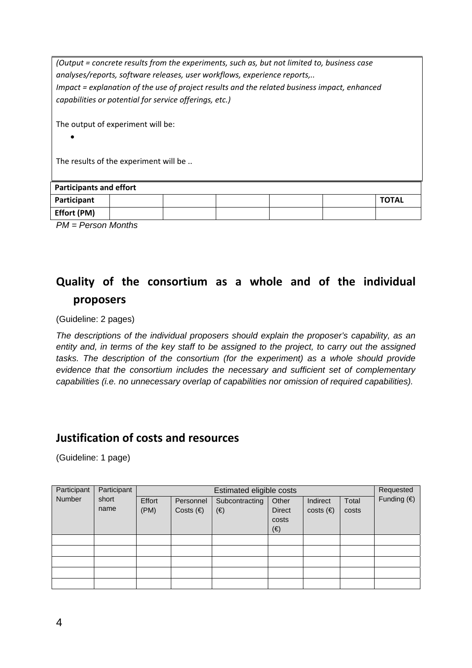|                                       |  | (Output = concrete results from the experiments, such as, but not limited to, business case<br>analyses/reports, software releases, user workflows, experience reports,<br>Impact = explanation of the use of project results and the related business impact, enhanced<br>capabilities or potential for service offerings, etc.) |  |  |  |  |
|---------------------------------------|--|-----------------------------------------------------------------------------------------------------------------------------------------------------------------------------------------------------------------------------------------------------------------------------------------------------------------------------------|--|--|--|--|
| The output of experiment will be:     |  |                                                                                                                                                                                                                                                                                                                                   |  |  |  |  |
| The results of the experiment will be |  |                                                                                                                                                                                                                                                                                                                                   |  |  |  |  |
| <b>Participants and effort</b>        |  |                                                                                                                                                                                                                                                                                                                                   |  |  |  |  |
| <b>TOTAL</b><br>Participant           |  |                                                                                                                                                                                                                                                                                                                                   |  |  |  |  |
| Effort (PM)                           |  |                                                                                                                                                                                                                                                                                                                                   |  |  |  |  |
| $PM = Person$ Months                  |  |                                                                                                                                                                                                                                                                                                                                   |  |  |  |  |

## **Quality of the consortium as a whole and of the individual proposers**

(Guideline: 2 pages)

*The descriptions of the individual proposers should explain the proposer's capability, as an entity and, in terms of the key staff to be assigned to the project, to carry out the assigned tasks. The description of the consortium (for the experiment) as a whole should provide evidence that the consortium includes the necessary and sufficient set of complementary capabilities (i.e. no unnecessary overlap of capabilities nor omission of required capabilities).* 

#### **Justification of costs and resources**

(Guideline: 1 page)

| Participant | Participant | Estimated eligible costs |                    |                |               |                   | Requested |                      |
|-------------|-------------|--------------------------|--------------------|----------------|---------------|-------------------|-----------|----------------------|
| Number      | short       | Effort                   | Personnel          | Subcontracting | Other         | Indirect          | Total     | Funding $(\epsilon)$ |
|             | name        | (PM)                     | Costs $(\epsilon)$ | (€)            | <b>Direct</b> | $costs$ ( $\in$ ) | costs     |                      |
|             |             |                          |                    |                | costs         |                   |           |                      |
|             |             |                          |                    |                | (€)           |                   |           |                      |
|             |             |                          |                    |                |               |                   |           |                      |
|             |             |                          |                    |                |               |                   |           |                      |
|             |             |                          |                    |                |               |                   |           |                      |
|             |             |                          |                    |                |               |                   |           |                      |
|             |             |                          |                    |                |               |                   |           |                      |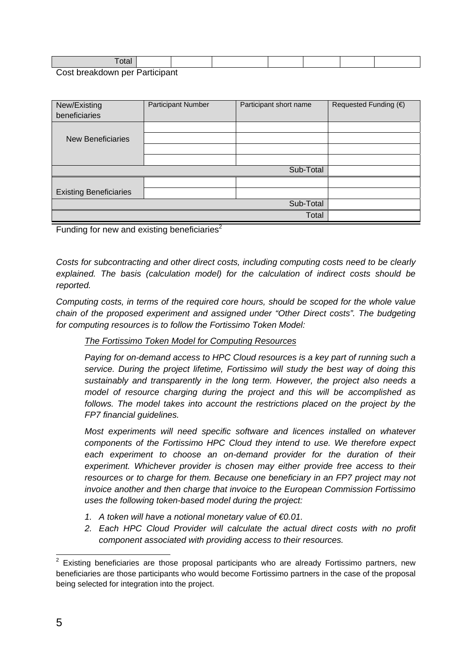| $- - - - - - -$ |  |  |  |  |
|-----------------|--|--|--|--|
|                 |  |  |  |  |

Cost breakdown per Participant

| New/Existing<br>beneficiaries | Participant Number | Participant short name | Requested Funding (€) |
|-------------------------------|--------------------|------------------------|-----------------------|
|                               |                    |                        |                       |
| <b>New Beneficiaries</b>      |                    |                        |                       |
|                               |                    |                        |                       |
|                               |                    |                        |                       |
|                               |                    | Sub-Total              |                       |
|                               |                    |                        |                       |
| <b>Existing Beneficiaries</b> |                    |                        |                       |
|                               |                    | Sub-Total              |                       |
|                               |                    | Total                  |                       |

Funding for new and existing beneficiaries<sup>2</sup>

*Costs for subcontracting and other direct costs, including computing costs need to be clearly explained. The basis (calculation model) for the calculation of indirect costs should be reported.* 

*Computing costs, in terms of the required core hours, should be scoped for the whole value chain of the proposed experiment and assigned under "Other Direct costs". The budgeting for computing resources is to follow the Fortissimo Token Model:* 

#### *The Fortissimo Token Model for Computing Resources*

*Paying for on-demand access to HPC Cloud resources is a key part of running such a service. During the project lifetime, Fortissimo will study the best way of doing this sustainably and transparently in the long term. However, the project also needs a model of resource charging during the project and this will be accomplished as*  follows. The model takes into account the restrictions placed on the project by the *FP7 financial guidelines.* 

*Most experiments will need specific software and licences installed on whatever components of the Fortissimo HPC Cloud they intend to use. We therefore expect*  each experiment to choose an on-demand provider for the duration of their *experiment. Whichever provider is chosen may either provide free access to their resources or to charge for them. Because one beneficiary in an FP7 project may not invoice another and then charge that invoice to the European Commission Fortissimo uses the following token-based model during the project:* 

- *1. A token will have a notional monetary value of €0.01.*
- 2. Each HPC Cloud Provider will calculate the actual direct costs with no profit *component associated with providing access to their resources.*

1

 $2$  Existing beneficiaries are those proposal participants who are already Fortissimo partners, new beneficiaries are those participants who would become Fortissimo partners in the case of the proposal being selected for integration into the project.